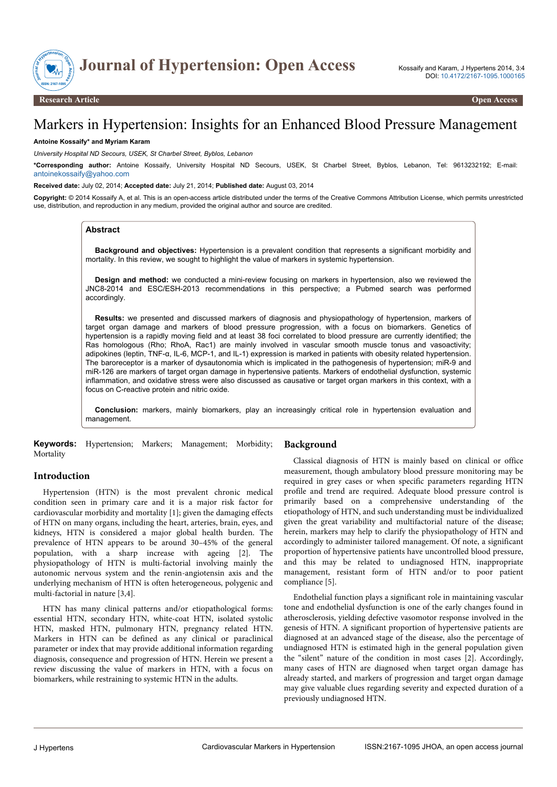

# Markers in Hypertension: Insights for an Enhanced Blood Pressure Management

### **Antoine Kossaify\* and Myriam Karam**

*University Hospital ND Secours, USEK, St Charbel Street, Byblos, Lebanon*

**\*Corresponding author:** Antoine Kossaify, University Hospital ND Secours, USEK, St Charbel Street, Byblos, Lebanon, Tel: 9613232192; E-mail: [antoinekossaify@yahoo.com](mailto:antoinekossaify@yahoo.com)

#### **Received date:** July 02, 2014; **Accepted date:** July 21, 2014; **Published date:** August 03, 2014

**Copyright:** © 2014 Kossaify A, et al. This is an open-access article distributed under the terms of the Creative Commons Attribution License, which permits unrestricted use, distribution, and reproduction in any medium, provided the original author and source are credited.

### **Abstract**

**Background and objectives:** Hypertension is a prevalent condition that represents a significant morbidity and mortality. In this review, we sought to highlight the value of markers in systemic hypertension.

**Design and method:** we conducted a mini-review focusing on markers in hypertension, also we reviewed the JNC8-2014 and ESC/ESH-2013 recommendations in this perspective; a Pubmed search was performed accordingly.

**Results:** we presented and discussed markers of diagnosis and physiopathology of hypertension, markers of target organ damage and markers of blood pressure progression, with a focus on biomarkers. Genetics of hypertension is a rapidly moving field and at least 38 foci correlated to blood pressure are currently identified; the Ras homologous (Rho; RhoA, Rac1) are mainly involved in vascular smooth muscle tonus and vasoactivity; adipokines (leptin, TNF-α, IL-6, MCP-1, and IL-1) expression is marked in patients with obesity related hypertension. The baroreceptor is a marker of dysautonomia which is implicated in the pathogenesis of hypertension; miR-9 and miR-126 are markers of target organ damage in hypertensive patients. Markers of endothelial dysfunction, systemic inflammation, and oxidative stress were also discussed as causative or target organ markers in this context, with a focus on C-reactive protein and nitric oxide.

**Conclusion:** markers, mainly biomarkers, play an increasingly critical role in hypertension evaluation and management.

**Keywords:** Hypertension; Markers; Management; Morbidity; Mortality

# **Introduction**

Hypertension (HTN) is the most prevalent chronic medical condition seen in primary care and it is a major risk factor for cardiovascular morbidity and mortality [1]; given the damaging effects of HTN on many organs, including the heart, arteries, brain, eyes, and kidneys, HTN is considered a major global health burden. The prevalence of HTN appears to be around 30–45% of the general population, with a sharp increase with ageing [2]. The physiopathology of HTN is multi-factorial involving mainly the autonomic nervous system and the renin-angiotensin axis and the underlying mechanism of HTN is often heterogeneous, polygenic and multi-factorial in nature [3,4].

HTN has many clinical patterns and/or etiopathological forms: essential HTN, secondary HTN, white-coat HTN, isolated systolic HTN, masked HTN, pulmonary HTN, pregnancy related HTN. Markers in HTN can be defined as any clinical or paraclinical parameter or index that may provide additional information regarding diagnosis, consequence and progression of HTN. Herein we present a review discussing the value of markers in HTN, with a focus on biomarkers, while restraining to systemic HTN in the adults.

#### **Background**

Classical diagnosis of HTN is mainly based on clinical or office measurement, though ambulatory blood pressure monitoring may be required in grey cases or when specific parameters regarding HTN profile and trend are required. Adequate blood pressure control is primarily based on a comprehensive understanding of the etiopathology of HTN, and such understanding must be individualized given the great variability and multifactorial nature of the disease; herein, markers may help to clarify the physiopathology of HTN and accordingly to administer tailored management. Of note, a significant proportion of hypertensive patients have uncontrolled blood pressure, and this may be related to undiagnosed HTN, inappropriate management, resistant form of HTN and/or to poor patient compliance [5].

Endothelial function plays a significant role in maintaining vascular tone and endothelial dysfunction is one of the early changes found in atherosclerosis, yielding defective vasomotor response involved in the genesis of HTN. A significant proportion of hypertensive patients are diagnosed at an advanced stage of the disease, also the percentage of undiagnosed HTN is estimated high in the general population given the "silent" nature of the condition in most cases [2]. Accordingly, many cases of HTN are diagnosed when target organ damage has already started, and markers of progression and target organ damage may give valuable clues regarding severity and expected duration of a previously undiagnosed HTN.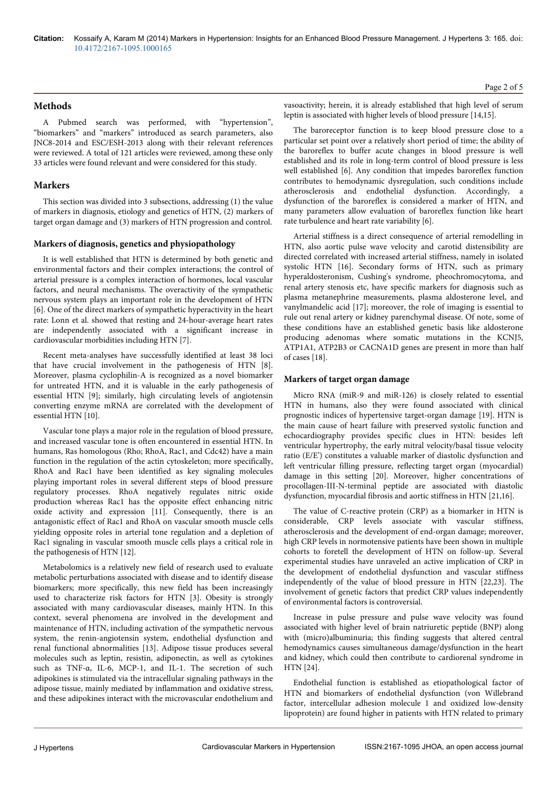# **Methods**

A Pubmed search was performed, with "hypertension", "biomarkers" and "markers" introduced as search parameters, also JNC8-2014 and ESC/ESH-2013 along with their relevant references were reviewed. A total of 121 articles were reviewed, among these only 33 articles were found relevant and were considered for this study.

# **Markers**

This section was divided into 3 subsections, addressing (1) the value of markers in diagnosis, etiology and genetics of HTN, (2) markers of target organ damage and (3) markers of HTN progression and control.

### **Markers of diagnosis, genetics and physiopathology**

It is well established that HTN is determined by both genetic and environmental factors and their complex interactions; the control of arterial pressure is a complex interaction of hormones, local vascular factors, and neural mechanisms. The overactivity of the sympathetic nervous system plays an important role in the development of HTN [6]. One of the direct markers of sympathetic hyperactivity in the heart rate: Lonn et al. showed that resting and 24-hour-average heart rates are independently associated with a significant increase in cardiovascular morbidities including HTN [7].

Recent meta-analyses have successfully identified at least 38 loci that have crucial involvement in the pathogenesis of HTN [8]. Moreover, plasma cyclophilin-A is recognized as a novel biomarker for untreated HTN, and it is valuable in the early pathogenesis of essential HTN [9]; similarly, high circulating levels of angiotensin converting enzyme mRNA are correlated with the development of essential HTN [10].

Vascular tone plays a major role in the regulation of blood pressure, and increased vascular tone is often encountered in essential HTN. In humans, Ras homologous (Rho; RhoA, Rac1, and Cdc42) have a main function in the regulation of the actin cytoskeleton; more specifically, RhoA and Rac1 have been identified as key signaling molecules playing important roles in several different steps of blood pressure regulatory processes. RhoA negatively regulates nitric oxide production whereas Rac1 has the opposite effect enhancing nitric oxide activity and expression [11]. Consequently, there is an antagonistic effect of Rac1 and RhoA on vascular smooth muscle cells yielding opposite roles in arterial tone regulation and a depletion of Rac1 signaling in vascular smooth muscle cells plays a critical role in the pathogenesis of HTN [12].

Metabolomics is a relatively new field of research used to evaluate metabolic perturbations associated with disease and to identify disease biomarkers; more specifically, this new field has been increasingly used to characterize risk factors for HTN [3]. Obesity is strongly associated with many cardiovascular diseases, mainly HTN. In this context, several phenomena are involved in the development and maintenance of HTN, including activation of the sympathetic nervous system, the renin-angiotensin system, endothelial dysfunction and renal functional abnormalities [13]. Adipose tissue produces several molecules such as leptin, resistin, adiponectin, as well as cytokines such as TNF-α, IL-6, MCP-1, and IL-1. The secretion of such adipokines is stimulated via the intracellular signaling pathways in the adipose tissue, mainly mediated by inflammation and oxidative stress, and these adipokines interact with the microvascular endothelium and Page 2 of 5

vasoactivity; herein, it is already established that high level of serum leptin is associated with higher levels of blood pressure [14,15].

The baroreceptor function is to keep blood pressure close to a particular set point over a relatively short period of time; the ability of the baroreflex to buffer acute changes in blood pressure is well established and its role in long-term control of blood pressure is less well established [6]. Any condition that impedes baroreflex function contributes to hemodynamic dysregulation, such conditions include atherosclerosis and endothelial dysfunction. Accordingly, a dysfunction of the baroreflex is considered a marker of HTN, and many parameters allow evaluation of baroreflex function like heart rate turbulence and heart rate variability [6].

Arterial stiffness is a direct consequence of arterial remodelling in HTN, also aortic pulse wave velocity and carotid distensibility are directed correlated with increased arterial stiffness, namely in isolated systolic HTN [16]. Secondary forms of HTN, such as primary hyperaldosteronism, Cushing's syndrome, pheochromocytoma, and renal artery stenosis etc, have specific markers for diagnosis such as plasma metanephrine measurements, plasma aldosterone level, and vanylmandelic acid [17]; moreover, the role of imaging is essential to rule out renal artery or kidney parenchymal disease. Of note, some of these conditions have an established genetic basis like aldosterone producing adenomas where somatic mutations in the KCNJ5, ATP1A1, ATP2B3 or CACNA1D genes are present in more than half of cases [18].

### **Markers of target organ damage**

Micro RNA (miR-9 and miR-126) is closely related to essential HTN in humans, also they were found associated with clinical prognostic indices of hypertensive target-organ damage [19]. HTN is the main cause of heart failure with preserved systolic function and echocardiography provides specific clues in HTN: besides left ventricular hypertrophy, the early mitral velocity/basal tissue velocity ratio (E/E') constitutes a valuable marker of diastolic dysfunction and left ventricular filling pressure, reflecting target organ (myocardial) damage in this setting [20]. Moreover, higher concentrations of procollagen-III-N-terminal peptide are associated with diastolic dysfunction, myocardial fibrosis and aortic stiffness in HTN [21,16].

The value of C-reactive protein (CRP) as a biomarker in HTN is considerable, CRP levels associate with vascular stiffness, atherosclerosis and the development of end-organ damage; moreover, high CRP levels in normotensive patients have been shown in multiple cohorts to foretell the development of HTN on follow-up. Several experimental studies have unraveled an active implication of CRP in the development of endothelial dysfunction and vascular stiffness independently of the value of blood pressure in HTN [22,23]. The involvement of genetic factors that predict CRP values independently of environmental factors is controversial.

Increase in pulse pressure and pulse wave velocity was found associated with higher level of brain natriuretic peptide (BNP) along with (micro)albuminuria; this finding suggests that altered central hemodynamics causes simultaneous damage/dysfunction in the heart and kidney, which could then contribute to cardiorenal syndrome in HTN [24].

Endothelial function is established as etiopathological factor of HTN and biomarkers of endothelial dysfunction (von Willebrand factor, intercellular adhesion molecule 1 and oxidized low-density lipoprotein) are found higher in patients with HTN related to primary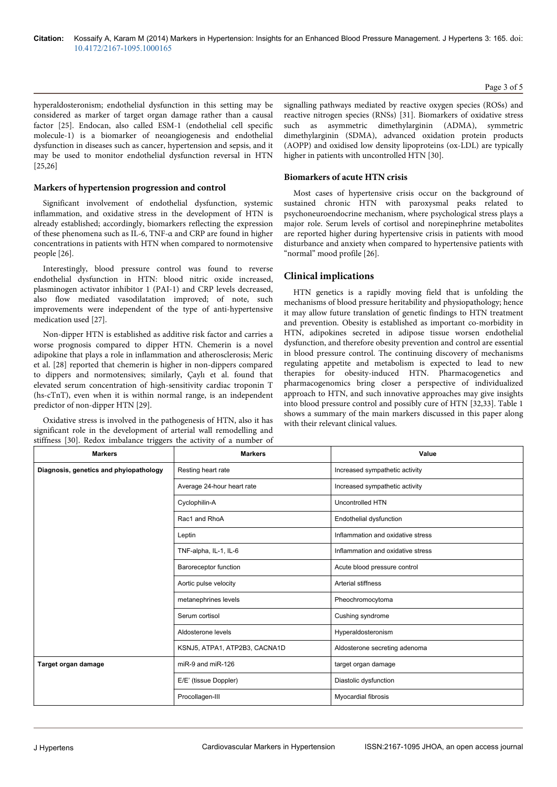hyperaldosteronism; endothelial dysfunction in this setting may be considered as marker of target organ damage rather than a causal factor [25]. Endocan, also called ESM-1 (endothelial cell specific molecule-1) is a biomarker of neoangiogenesis and endothelial dysfunction in diseases such as cancer, hypertension and sepsis, and it may be used to monitor endothelial dysfunction reversal in HTN [25,26]

#### **Markers of hypertension progression and control**

Significant involvement of endothelial dysfunction, systemic inflammation, and oxidative stress in the development of HTN is already established; accordingly, biomarkers reflecting the expression of these phenomena such as IL-6, TNF-α and CRP are found in higher concentrations in patients with HTN when compared to normotensive people [26].

Interestingly, blood pressure control was found to reverse endothelial dysfunction in HTN: blood nitric oxide increased, plasminogen activator inhibitor 1 (PAI-1) and CRP levels decreased, also flow mediated vasodilatation improved; of note, such improvements were independent of the type of anti-hypertensive medication used [27].

Non-dipper HTN is established as additive risk factor and carries a worse prognosis compared to dipper HTN. Chemerin is a novel adipokine that plays a role in inflammation and atherosclerosis; Meric et al. [28] reported that chemerin is higher in non-dippers compared to dippers and normotensives; similarly, Çaylı et al. found that elevated serum concentration of high-sensitivity cardiac troponin T (hs-cTnT), even when it is within normal range, is an independent predictor of non-dipper HTN [29].

Oxidative stress is involved in the pathogenesis of HTN, also it has significant role in the development of arterial wall remodelling and stiffness [30]. Redox imbalance triggers the activity of a number of signalling pathways mediated by reactive oxygen species (ROSs) and reactive nitrogen species (RNSs) [31]. Biomarkers of oxidative stress such as asymmetric dimethylarginin (ADMA), symmetric dimethylarginin (SDMA), advanced oxidation protein products (AOPP) and oxidised low density lipoproteins (ox-LDL) are typically higher in patients with uncontrolled HTN [30].

#### **Biomarkers of acute HTN crisis**

Most cases of hypertensive crisis occur on the background of sustained chronic HTN with paroxysmal peaks related to psychoneuroendocrine mechanism, where psychological stress plays a major role. Serum levels of cortisol and norepinephrine metabolites are reported higher during hypertensive crisis in patients with mood disturbance and anxiety when compared to hypertensive patients with "normal" mood profile [26].

### **Clinical implications**

HTN genetics is a rapidly moving field that is unfolding the mechanisms of blood pressure heritability and physiopathology; hence it may allow future translation of genetic findings to HTN treatment and prevention. Obesity is established as important co-morbidity in HTN, adipokines secreted in adipose tissue worsen endothelial dysfunction, and therefore obesity prevention and control are essential in blood pressure control. The continuing discovery of mechanisms regulating appetite and metabolism is expected to lead to new therapies for obesity-induced HTN. Pharmacogenetics and pharmacogenomics bring closer a perspective of individualized approach to HTN, and such innovative approaches may give insights into blood pressure control and possibly cure of HTN [32,33]. Table 1 shows a summary of the main markers discussed in this paper along with their relevant clinical values.

| <b>Markers</b>                         | <b>Markers</b>                | Value                             |
|----------------------------------------|-------------------------------|-----------------------------------|
| Diagnosis, genetics and phyiopathology | Resting heart rate            | Increased sympathetic activity    |
|                                        | Average 24-hour heart rate    | Increased sympathetic activity    |
|                                        | Cyclophilin-A                 | Uncontrolled HTN                  |
|                                        | Rac1 and RhoA                 | Endothelial dysfunction           |
|                                        | Leptin                        | Inflammation and oxidative stress |
|                                        | TNF-alpha, IL-1, IL-6         | Inflammation and oxidative stress |
|                                        | Baroreceptor function         | Acute blood pressure control      |
|                                        | Aortic pulse velocity         | <b>Arterial stiffness</b>         |
|                                        | metanephrines levels          | Pheochromocytoma                  |
|                                        | Serum cortisol                | Cushing syndrome                  |
|                                        | Aldosterone levels            | Hyperaldosteronism                |
|                                        | KSNJ5, ATPA1, ATP2B3, CACNA1D | Aldosterone secreting adenoma     |
| Target organ damage                    | miR-9 and miR-126             | target organ damage               |
|                                        | E/E' (tissue Doppler)         | Diastolic dysfunction             |
|                                        | Procollagen-III               | Myocardial fibrosis               |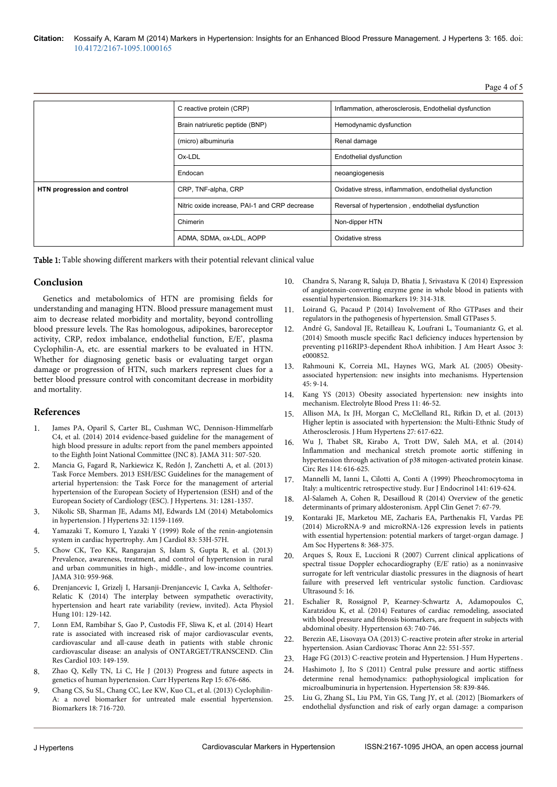Page 4 of 5

|                             | C reactive protein (CRP)                      | Inflammation, atherosclerosis, Endothelial dysfunction  |
|-----------------------------|-----------------------------------------------|---------------------------------------------------------|
|                             | Brain natriuretic peptide (BNP)               | Hemodynamic dysfunction                                 |
|                             | (micro) albuminuria                           | Renal damage                                            |
|                             | Ox-LDL                                        | Endothelial dysfunction                                 |
|                             | Endocan                                       | neoangiogenesis                                         |
| HTN progression and control | CRP, TNF-alpha, CRP                           | Oxidative stress, inflammation, endothelial dysfunction |
|                             | Nitric oxide increase, PAI-1 and CRP decrease | Reversal of hypertension, endothelial dysfunction       |
|                             | Chimerin                                      | Non-dipper HTN                                          |
|                             | ADMA, SDMA, ox-LDL, AOPP                      | Oxidative stress                                        |

Table 1: Table showing different markers with their potential relevant clinical value

## **Conclusion**

Genetics and metabolomics of HTN are promising fields for understanding and managing HTN. Blood pressure management must aim to decrease related morbidity and mortality, beyond controlling blood pressure levels. The Ras homologous, adipokines, baroreceptor activity, CRP, redox imbalance, endothelial function, E/E', plasma Cyclophilin-A, etc. are essential markers to be evaluated in HTN. Whether for diagnosing genetic basis or evaluating target organ damage or progression of HTN, such markers represent clues for a better blood pressure control with concomitant decrease in morbidity and mortality.

# **References**

- 1. [James PA, Oparil S, Carter BL, Cushman WC, Dennison-Himmelfarb](http://www.ncbi.nlm.nih.gov/pubmed/24352797) [C4, et al. \(2014\) 2014 evidence-based guideline for the management of](http://www.ncbi.nlm.nih.gov/pubmed/24352797) [high blood pressure in adults: report from the panel members appointed](http://www.ncbi.nlm.nih.gov/pubmed/24352797) [to the Eighth Joint National Committee \(JNC 8\). JAMA 311: 507-520.](http://www.ncbi.nlm.nih.gov/pubmed/24352797)
- 2. Mancia G, Fagard R, Narkiewicz K, Redón J, Zanchetti A, et al. (2013) Task Force Members. 2013 ESH/ESC Guidelines for the management of arterial hypertension: the Task Force for the management of arterial hypertension of the European Society of Hypertension (ESH) and of the European Society of Cardiology (ESC). J Hypertens. 31: 1281-1357.
- 3. [Nikolic SB, Sharman JE, Adams MJ, Edwards LM \(2014\) Metabolomics](http://www.ncbi.nlm.nih.gov/pubmed/24675680) [in hypertension. J Hypertens 32: 1159-1169.](http://www.ncbi.nlm.nih.gov/pubmed/24675680)
- 4. [Yamazaki T, Komuro I, Yazaki Y \(1999\) Role of the renin-angiotensin](http://www.ncbi.nlm.nih.gov/pubmed/10750588) [system in cardiac hypertrophy. Am J Cardiol 83: 53H-57H.](http://www.ncbi.nlm.nih.gov/pubmed/10750588)
- 5. [Chow CK, Teo KK, Rangarajan S, Islam S, Gupta R, et al. \(2013\)](http://www.ncbi.nlm.nih.gov/pubmed/24002282) [Prevalence, awareness, treatment, and control of hypertension in rural](http://www.ncbi.nlm.nih.gov/pubmed/24002282) [and urban communities in high-, middle-, and low-income countries.](http://www.ncbi.nlm.nih.gov/pubmed/24002282) [JAMA 310: 959-968.](http://www.ncbi.nlm.nih.gov/pubmed/24002282)
- 6. [Drenjancevic I, Grizelj I, Harsanji-Drenjancevic I, Cavka A, Selthofer-](http://www.ncbi.nlm.nih.gov/pubmed/24901074)[Relatic K \(2014\) The interplay between sympathetic overactivity,](http://www.ncbi.nlm.nih.gov/pubmed/24901074) [hypertension and heart rate variability \(review, invited\). Acta Physiol](http://www.ncbi.nlm.nih.gov/pubmed/24901074) [Hung 101: 129-142.](http://www.ncbi.nlm.nih.gov/pubmed/24901074)
- 7. [Lonn EM, Rambihar S, Gao P, Custodis FF, Sliwa K, et al. \(2014\) Heart](http://www.ncbi.nlm.nih.gov/pubmed/24356937) [rate is associated with increased risk of major cardiovascular events,](http://www.ncbi.nlm.nih.gov/pubmed/24356937) [cardiovascular and all-cause death in patients with stable chronic](http://www.ncbi.nlm.nih.gov/pubmed/24356937) [cardiovascular disease: an analysis of ONTARGET/TRANSCEND. Clin](http://www.ncbi.nlm.nih.gov/pubmed/24356937) [Res Cardiol 103: 149-159.](http://www.ncbi.nlm.nih.gov/pubmed/24356937)
- 8. [Zhao Q, Kelly TN, Li C, He J \(2013\) Progress and future aspects in](http://www.ncbi.nlm.nih.gov/pubmed/24072558) [genetics of human hypertension. Curr Hypertens Rep 15: 676-686.](http://www.ncbi.nlm.nih.gov/pubmed/24072558)
- 9. [Chang CS, Su SL, Chang CC, Lee KW, Kuo CL, et al. \(2013\) Cyclophilin-](http://www.ncbi.nlm.nih.gov/pubmed/24164594)[A: a novel biomarker for untreated male essential hypertension.](http://www.ncbi.nlm.nih.gov/pubmed/24164594) [Biomarkers 18: 716-720.](http://www.ncbi.nlm.nih.gov/pubmed/24164594)
- 10. [Chandra S, Narang R, Saluja D, Bhatia J, Srivastava K \(2014\) Expression](http://www.ncbi.nlm.nih.gov/pubmed/24811208) [of angiotensin-converting enzyme gene in whole blood in patients with](http://www.ncbi.nlm.nih.gov/pubmed/24811208) [essential hypertension. Biomarkers 19: 314-318.](http://www.ncbi.nlm.nih.gov/pubmed/24811208)
- 11. [Loirand G, Pacaud P \(2014\) Involvement of Rho GTPases and their](http://www.ncbi.nlm.nih.gov/pubmed/24959716) [regulators in the pathogenesis of hypertension. Small GTPases 5.](http://www.ncbi.nlm.nih.gov/pubmed/24959716)
- 12. [André G, Sandoval JE, Retailleau K, Loufrani L, Toumaniantz G, et al.](http://www.ncbi.nlm.nih.gov/pubmed/24938713) [\(2014\) Smooth muscle specific Rac1 deficiency induces hypertension by](http://www.ncbi.nlm.nih.gov/pubmed/24938713) [preventing p116RIP3-dependent RhoA inhibition. J Am Heart Assoc 3:](http://www.ncbi.nlm.nih.gov/pubmed/24938713) [e000852.](http://www.ncbi.nlm.nih.gov/pubmed/24938713)
- 13. [Rahmouni K, Correia ML, Haynes WG, Mark AL \(2005\) Obesity](http://www.ncbi.nlm.nih.gov/pubmed/15583075)[associated hypertension: new insights into mechanisms. Hypertension](http://www.ncbi.nlm.nih.gov/pubmed/15583075) [45: 9-14.](http://www.ncbi.nlm.nih.gov/pubmed/15583075)
- 14. [Kang YS \(2013\) Obesity associated hypertension: new insights into](http://www.ncbi.nlm.nih.gov/pubmed/24627704) [mechanism. Electrolyte Blood Press 11: 46-52.](http://www.ncbi.nlm.nih.gov/pubmed/24627704)
- 15. [Allison MA, Ix JH, Morgan C, McClelland RL, Rifkin D, et al. \(2013\)](http://www.ncbi.nlm.nih.gov/pubmed/23535989) [Higher leptin is associated with hypertension: the Multi-Ethnic Study of](http://www.ncbi.nlm.nih.gov/pubmed/23535989) [Atherosclerosis. J Hum Hypertens 27: 617-622.](http://www.ncbi.nlm.nih.gov/pubmed/23535989)
- 16. [Wu J, Thabet SR, Kirabo A, Trott DW, Saleh MA, et al. \(2014\)](http://www.ncbi.nlm.nih.gov/pubmed/24347665) [Inflammation and mechanical stretch promote aortic stiffening in](http://www.ncbi.nlm.nih.gov/pubmed/24347665) [hypertension through activation of p38 mitogen-activated protein kinase.](http://www.ncbi.nlm.nih.gov/pubmed/24347665) [Circ Res 114: 616-625.](http://www.ncbi.nlm.nih.gov/pubmed/24347665)
- 17. [Mannelli M, Ianni L, Cilotti A, Conti A \(1999\) Pheochromocytoma in](http://www.ncbi.nlm.nih.gov/pubmed/10601965) [Italy: a multicentric retrospective study. Eur J Endocrinol 141: 619-624.](http://www.ncbi.nlm.nih.gov/pubmed/10601965)
- 18. [Al-Salameh A, Cohen R, Desailloud R \(2014\) Overview of the genetic](http://www.ncbi.nlm.nih.gov/pubmed/24817817) [determinants of primary aldosteronism. Appl Clin Genet 7: 67-79.](http://www.ncbi.nlm.nih.gov/pubmed/24817817)
- 19. [Kontaraki JE, Marketou ME, Zacharis EA, Parthenakis FI, Vardas PE](http://www.ncbi.nlm.nih.gov/pubmed/24794206) [\(2014\) MicroRNA-9 and microRNA-126 expression levels in patients](http://www.ncbi.nlm.nih.gov/pubmed/24794206) [with essential hypertension: potential markers of target-organ damage. J](http://www.ncbi.nlm.nih.gov/pubmed/24794206) [Am Soc Hypertens 8: 368-375.](http://www.ncbi.nlm.nih.gov/pubmed/24794206)
- 20. [Arques S, Roux E, Luccioni R \(2007\) Current clinical applications of](http://www.ncbi.nlm.nih.gov/pubmed/17386087) [spectral tissue Doppler echocardiography \(E/E' ratio\) as a noninvasive](http://www.ncbi.nlm.nih.gov/pubmed/17386087) [surrogate for left ventricular diastolic pressures in the diagnosis of heart](http://www.ncbi.nlm.nih.gov/pubmed/17386087) [failure with preserved left ventricular systolic function. Cardiovasc](http://www.ncbi.nlm.nih.gov/pubmed/17386087) [Ultrasound 5: 16.](http://www.ncbi.nlm.nih.gov/pubmed/17386087)
- 21. [Eschalier R, Rossignol P, Kearney-Schwartz A, Adamopoulos C,](http://www.ncbi.nlm.nih.gov/pubmed/24446063) [Karatzidou K, et al. \(2014\) Features of cardiac remodeling, associated](http://www.ncbi.nlm.nih.gov/pubmed/24446063) [with blood pressure and fibrosis biomarkers, are frequent in subjects with](http://www.ncbi.nlm.nih.gov/pubmed/24446063) [abdominal obesity. Hypertension 63: 740-746.](http://www.ncbi.nlm.nih.gov/pubmed/24446063)
- 22. [Berezin AE, Lisovaya OA \(2013\) C-reactive protein after stroke in arterial](http://www.ncbi.nlm.nih.gov/pubmed/24867029) [hypertension. Asian Cardiovasc Thorac Ann 22: 551-557.](http://www.ncbi.nlm.nih.gov/pubmed/24867029)
- 23. [Hage FG \(2013\) C-reactive protein and Hypertension. J Hum Hypertens .](http://www.ncbi.nlm.nih.gov/pubmed/24226100)
- 24. [Hashimoto J, Ito S \(2011\) Central pulse pressure and aortic stiffness](http://www.ncbi.nlm.nih.gov/pubmed/21968753) [determine renal hemodynamics: pathophysiological implication for](http://www.ncbi.nlm.nih.gov/pubmed/21968753) [microalbuminuria in hypertension. Hypertension 58: 839-846.](http://www.ncbi.nlm.nih.gov/pubmed/21968753)
- 25. [Liu G, Zhang SL, Liu PM, Yin GS, Tang JY, et al. \(2012\) \[Biomarkers of](http://www.ncbi.nlm.nih.gov/pubmed/23141006) [endothelial dysfunction and risk of early organ damage: a comparison](http://www.ncbi.nlm.nih.gov/pubmed/23141006)